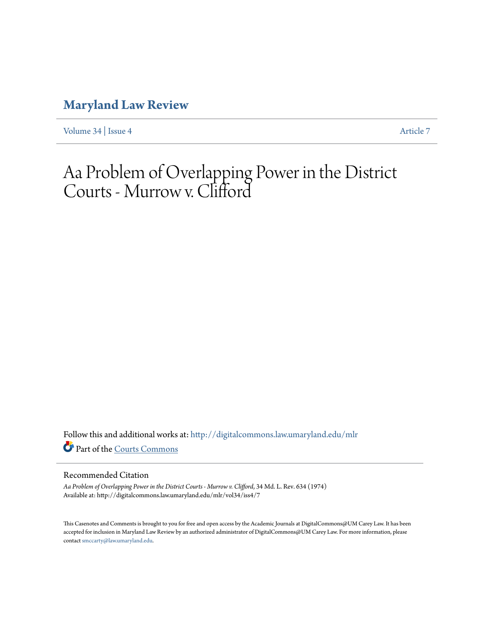# **[Maryland Law Review](http://digitalcommons.law.umaryland.edu/mlr?utm_source=digitalcommons.law.umaryland.edu%2Fmlr%2Fvol34%2Fiss4%2F7&utm_medium=PDF&utm_campaign=PDFCoverPages)**

[Volume 34](http://digitalcommons.law.umaryland.edu/mlr/vol34?utm_source=digitalcommons.law.umaryland.edu%2Fmlr%2Fvol34%2Fiss4%2F7&utm_medium=PDF&utm_campaign=PDFCoverPages) | [Issue 4](http://digitalcommons.law.umaryland.edu/mlr/vol34/iss4?utm_source=digitalcommons.law.umaryland.edu%2Fmlr%2Fvol34%2Fiss4%2F7&utm_medium=PDF&utm_campaign=PDFCoverPages) [Article 7](http://digitalcommons.law.umaryland.edu/mlr/vol34/iss4/7?utm_source=digitalcommons.law.umaryland.edu%2Fmlr%2Fvol34%2Fiss4%2F7&utm_medium=PDF&utm_campaign=PDFCoverPages)

# Aa Problem of Overlapping Power in the District Courts - Murrow v. Clifford

Follow this and additional works at: [http://digitalcommons.law.umaryland.edu/mlr](http://digitalcommons.law.umaryland.edu/mlr?utm_source=digitalcommons.law.umaryland.edu%2Fmlr%2Fvol34%2Fiss4%2F7&utm_medium=PDF&utm_campaign=PDFCoverPages) Part of the [Courts Commons](http://network.bepress.com/hgg/discipline/839?utm_source=digitalcommons.law.umaryland.edu%2Fmlr%2Fvol34%2Fiss4%2F7&utm_medium=PDF&utm_campaign=PDFCoverPages)

# Recommended Citation

*Aa Problem of Overlapping Power in the District Courts - Murrow v. Clifford*, 34 Md. L. Rev. 634 (1974) Available at: http://digitalcommons.law.umaryland.edu/mlr/vol34/iss4/7

This Casenotes and Comments is brought to you for free and open access by the Academic Journals at DigitalCommons@UM Carey Law. It has been accepted for inclusion in Maryland Law Review by an authorized administrator of DigitalCommons@UM Carey Law. For more information, please contact [smccarty@law.umaryland.edu.](mailto:smccarty@law.umaryland.edu)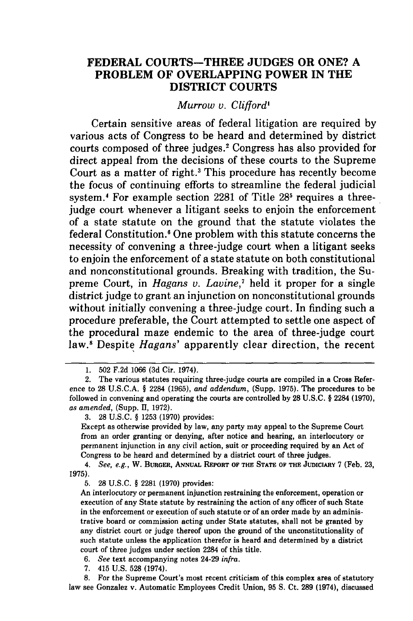# **FEDERAL COURTS-THREE JUDGES OR ONE? A PROBLEM OF OVERLAPPING POWER IN THE DISTRICT COURTS**

*Murrow v. Clifford'*

Certain sensitive areas of federal litigation are required by various acts of Congress to be heard and determined by district courts composed of three judges.<sup>2</sup> Congress has also provided for direct appeal from the decisions of these courts to the Supreme Court as a matter of right.' This procedure has recently become the focus of continuing efforts to streamline the federal judicial system.<sup>4</sup> For example section 2281 of Title 28<sup>5</sup> requires a threejudge court whenever a litigant seeks to enjoin the enforcement of a state statute on the ground that the statute violates the federal Constitution.' One problem with this statute concerns the necessity of convening a three-judge court when a litigant seeks to enjoin the enforcement of a state statute on both constitutional and nonconstitutional grounds. Breaking with tradition, the Supreme Court, in *Hagans v. Lavine,7* held it proper for a single district judge to grant an injunction on nonconstitutional grounds without initially convening a three-judge court. In finding such a procedure preferable, the Court attempted to settle one aspect of the procedural maze endemic to the area of three-judge court law.' Despite *Hagans'* apparently clear direction, the recent

**3. 28 U.S.C.** § **1253 (1970)** provides:

Except as otherwise provided **by** law, any party may appeal to the Supreme Court from an order granting or denying, after notice and hearing, an interlocutory or permanent injunction in any civil action, suit or proceeding required **by** an Act of Congress to be heard and determined **by** a district court of three judges.

4. See, e.g., W. BURGER, ANNUAL REPORT OF THE STATE OF THE JUDICIARY 7 (Feb. 23, **1975).**

**5. 28 U.S.C.** § **2281 (1970)** provides:

An interlocutory or permanent injunction restraining the enforcement, operation or execution of any State statute **by** restraining the action of any officer of such State in the enforcement or execution of such statute or of an order made **by** an administrative board or commission acting under State statutes, shall not be granted **by** any district court or judge thereof upon the ground of the unconstitutionality of such statute unless the application therefor is heard and determined **by** a district court of three judges under section 2284 of this title.

*6. See* text accompanying notes 24-29 *infra.*

**7.** 415 **U.S. 528** (1974).

**8.** For the Supreme Court's most recent criticism of this complex area of statutory law see Gonzalez v. Automatic Employees Credit Union, **95 S.** Ct. **289** (1974), discussed

<sup>1. 502</sup> **F.2d** 1066 **(3d** Cir. 1974).

<sup>2.</sup> The various statutes requiring three-judge courts are compiled in a Cross Reference to **28 U.S.C.A. §** 2284 **(1965),** *and addendum,* (Supp. **1975).** The procedures to be followed in convening and operating the courts are controlled **by 28 U.S.C.** § 2284 **(1970),** *as amended,* (Supp. **II, 1972).**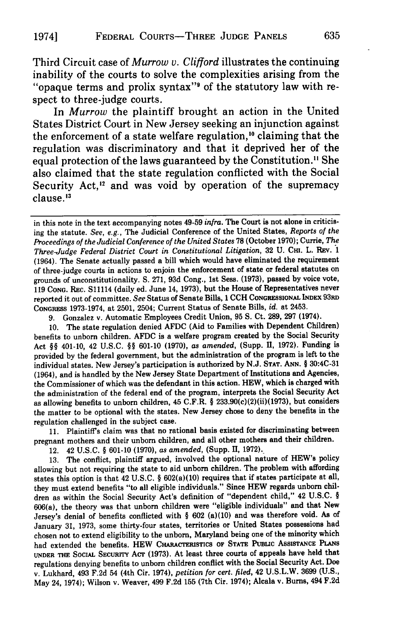Third Circuit case of *Murrow v. Clifford* illustrates the continuing inability of the courts to solve the complexities arising from the "opaque terms and prolix syntax"9 of the statutory law with respect to three-judge courts.

In *Murrow* the plaintiff brought an action in the United States District Court in New Jersey seeking an injunction against the enforcement of a state welfare regulation,<sup>10</sup> claiming that the regulation was discriminatory and that it deprived her of the equal protection of the laws guaranteed by the Constitution.<sup>11</sup> She also claimed that the state regulation conflicted with the Social Security Act,<sup>12</sup> and was void by operation of the supremacy clause. *"*

9. Gonzalez v. Automatic Employees Credit Union, 95 S. Ct. 289, 297 (1974).

10. The state regulation denied AFDC (Aid to Families with Dependent Children) benefits to unborn children. AFDC is a welfare program created by the Social Security Act **§§** 401-10, 42 U.S.C. **§§** 601-10 (1970), as *amended,* (Supp. **1,** 1972). Funding is provided by the federal government, but the administration of the program is left to the individual states. New Jersey's participation is authorized by N.J. **STAT. ANN.** § 30:4C-31 (1964), and is handled by the New Jersey State Department of Institutions and Agencies, the Commissioner of which was the defendant in this action. HEW, which is charged with the administration of the federal end of the program, interprets the Social Security Act as allowing benefits to unborn children, 45 C.F.R. **§** 233.90(c)(2)(ii)(1973), but considers the matter to be optional with the states. New Jersey chose to deny the benefits in the regulation challenged in the subject case.

11. Plaintiffs claim was that no rational basis existed for discriminating between pregnant mothers and their unborn children, and all other mothers and their children.

12. 42 U.S.C. **§** 601-10 (1970), as *amended,* (Supp. II, 1972).\_

13. The conflict, plaintiff argued, involved the optional nature of HEW's policy allowing but not requiring the state to aid unborn children. The problem with affording states this option is that 42 U.S.C. **§** 602(a)(10) requires that if states participate at all, they must extend benefits "to all eligible individuals." Since HEW regards unborn children as within the Social Security Act's definition of "dependent child," 42 U.S.C. § 606(a), the theory was that unborn children were "eligible individuals" and that New Jersey's denial of benefits conflicted with **§** 602 (a)(10) and was therefore void. As of January 31, 1973, some thirty-four states, territories or United States possessions had chosen not to extend eligibility to the unborn, Maryland being one of the minority which had extended the benefits. HEW CHARACTERISTICS OF STATE PUBLIC ASSISTANCE PLANS **UNDER THE SoCIAL** SEcUrrY ACT (1973). At least three courts of appeals have held that regulations denying benefits to unborn children conflict with the Social Security Act. Doe v. Lukhard, 493 F.2d 54 (4th Cir. 1974), *petition for cert. filed,* 42 U.S.L.W. 3699 (U.S., May 24, 1974); Wilson v. Weaver, 499 F.2d 155 (7th Cir. 1974); Alcala v. Burns, 494 F.2d

in this note in the text accompanying notes 49-59 *infra.* The Court is not alone in criticising the statute. *See, e.g.,* The Judicial Conference of the United States, *Reports of the Proceedings of the Judicial Conference of the United States* **78** (October 1970); Currie, *The Three-Judge Federal District Court in Constitutional Litigation,* 32 U. **CHI.** L. REv. 1 (1964). The Senate actually passed a bill which would have eliminated the requirement of three-judge courts in actions to enjoin the enforcement of state or federal statutes on grounds of unconstitutionality. **S.** 271, 93d Cong., 1st Sess. (1973), passed by voice vote, 119 **CONG.** REc. S11114 (daily ed. June 14, 1973), but the House of Representatives never reported it out of committee. *See* Status of Senate Bills, 1 CCH **CONGRESSIONAL INDEX** 93RD CONGRESS 1973-1974, at 2501, 2504; Current Status of Senate Bills, *id.* at 2453.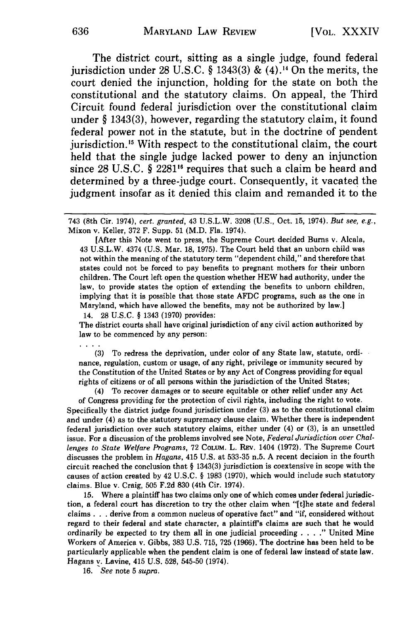The district court, sitting as a single judge, found federal jurisdiction under 28 U.S.C. § 1343(3) &  $(4)$ .<sup>14</sup> On the merits, the court denied the injunction, holding for the state on both the constitutional and the statutory claims. On appeal, the Third Circuit found federal jurisdiction over the constitutional claim under § 1343(3), however, regarding the statutory claim, it found federal power not in the statute, but in the doctrine of pendent jurisdiction." With respect to the constitutional claim, the court held that the single judge lacked power to deny an injunction since 28 U.S.C. § 2281<sup>16</sup> requires that such a claim be heard and determined by a three-judge court. Consequently, it vacated the judgment insofar as it denied this claim and remanded it to the

[After this Note went to press, the Supreme Court decided Bums v. Alcala, 43 U.S.L.W. 4374 (U.S. Mar. 18, 1975). The Court held that an unborn child was not within the meaning of the statutory term "dependent child," and therefore that states could not be forced to pay benefits to pregnant mothers for their unborn children. The Court left open the question whether HEW had authority, under the law, to provide states the option of extending the benefits to unborn children, implying that it is possible that those state AFDC programs, such as the one in Maryland, which have allowed the benefits, may not be authorized by law.] 14. 28 U.S.C. § 1343 (1970) provides:

The district courts shall have original jurisdiction of any civil action authorized by law to be commenced by any person:

(3) To redress the deprivation, under color of any State law, statute, ordinance, regulation, custom or usage, of any right, privilege or immunity secured by the Constitution of the United States or by any Act of Congress providing for equal rights of citizens or of all persons within the jurisdiction of the United States;

(4) To recover damages or to secure equitable or other relief under any Act of Congress providing for the protection of civil rights, including the right to vote. Specifically the district judge found jurisdiction under **(3)** as to the constitutional claim and under (4) as to the statutory supremacy clause claim. Whether there is independent federal jurisdiction over such statutory claims, either under (4) or (3), is an unsettled issue. For a discussion of the problems involved see Note, *Federal Jurisdiction over Challenges to State Welfare Programs,* 72 COLUM. L. REv. 1404 (1972). The Supreme Court discusses the problem in *Hagans,* 415 U.S. at 533-35 n.5. A recent decision in the fourth circuit reached the conclusion that § 1343(3) jurisdiction is coextensive in scope with the causes of action created by 42 U.S.C. § 1983 (1970), which would include such statutory claims. Blue v. Craig, 505 F.2d 830 (4th Cir. 1974).

15. Where a plaintiff has two claims only one of which comes under federal jurisdiction, a federal court has discretion to try the other claim when "[tihe state and federal claims **. . .** derive from a common nucleus of operative fact" and "if, considered without regard to their federal and state character, a plaintiff's claims are such that he would ordinarily be expected to try them all in one judicial proceeding . **. . ."** United Mine Workers of America v. Gibbs, 383 U.S. 715, 725 (1966). The doctrine has been held to be particularly applicable when the pendent claim is one of federal law instead of state law. Hagans v. Lavine, 415 U.S. 528, 545-50 (1974).

16. *See* note 5 *supra.*

<sup>743 (8</sup>th Cir. 1974), *cert. granted,* 43 U.S.L.W. 3208 (U.S., Oct. 15, 1974). *But see, e.g.,* Mixon v. Keller, 372 F. Supp. 51 (M.D. Fla. 1974).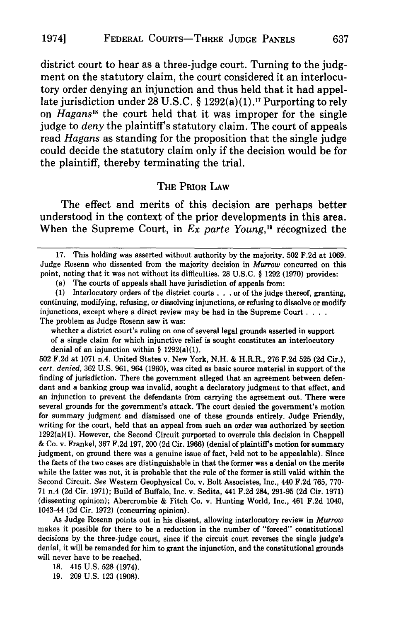district court to hear as a three-judge court. Turning to the judgment on the statutory claim, the court considered it an interlocutory order denying an injunction and thus held that it had appellate jurisdiction under 28 U.S.C. § 1292(a)(1).<sup>17</sup> Purporting to rely on *Hagans*<sup>18</sup> the court held that it was improper for the single judge to *deny* the plaintiff's statutory claim. The court of appeals read *Hagans* as standing for the proposition that the single judge could decide the statutory claim only if the decision would be for the plaintiff, thereby terminating the trial.

#### **THE PRIOR LAW**

The effect and merits of this decision are perhaps better understood in the context of the prior developments in this area. When the Supreme Court, in *Ex parte Young*,<sup>19</sup> recognized the

(a) The courts of appeals shall have jurisdiction of appeals from:

whether a district court's ruling on one of several legal grounds asserted in support of a single claim for which injunctive relief is sought constitutes an interlocutory denial of an injunction within  $\S$  1292(a)(1).

**502 F.2d** at **1071** n.4. United States v. New York, **N.H. &** H.R.R., **276 F.2d 525 (2d** Cir.), *cert. denied,* **362 U.S. 961,** 964 **(1960),** was cited as basic source material in support of the finding of jurisdiction. There the government alleged that an agreement between defendant and a banking group was invalid, sought a declaratory judgment to that effect, and an injunction to prevent the defendants from carrying the agreement out. There were several grounds for the government's attack. The court denied the government's motion for summary judgment and dismissed one of these grounds entirely. Judge Friendly, writing for the court, held that an appeal from such an order was authorized **by** section  $1292(a)(1)$ . However, the Second Circuit purported to overrule this decision in Chappell **&** Co. v. Frankel, **367 F.2d 197,** 200 **(2d** Cir. **1966)** (denial of plaintiff's motion for summary judgment, on ground there was a genuine issue of fact, held not to be appealable). Since the facts of the two cases are distinguishable in that the former was a denial on the merits while the latter was not, it is probable that the rule of the former is still valid within the Second Circuit. *See* Western Geophysical Co. v. Bolt Associates, Inc., 440 **F.2d 765, 770- 71** n.4 **(2d** Cir. **1971);** Build of Buffalo, Inc. v. Sedita, 441 **F.2d** 284, **291-95 (2d** Cir. **1971)** (dissenting opinion); Abercrombie **&** Fitch Co. v. Hunting World, Inc., 461 **F.2d** 1040, 1043-44 **(2d** Cir. **1972)** (concurring opinion).

As Judge Rosenn points out in his dissent, allowing interlocutory review in *Murrow* makes it possible for there to be a reduction in the number of "forced" constitutional decisions **by** the three-judge court, since if the circuit court reverses the single judge's denial, it will be remanded for him to grant the injunction, and the constitutional grounds will never have to be reached.

**19. 209 U.S. 123 (1908).**

**<sup>17.</sup>** This holding was asserted without authority **by** the majority. **502 F.2d** at **1069.** Judge Rosenn who dissented from the majority decision in *Murrow* concurred on this point, noting that it was not without its difficulties. **28 U.S.C.** § **1292 (1970)** provides:

**<sup>(1)</sup>** Interlocutory orders of the district courts **. . .** or of the judge thereof, granting, continuing, modifying, refusing, or dissolving injunctions, or refusing to dissolve or modify injunctions, except where a direct review may be had in the Supreme Court **....** The problem as Judge Rosenn saw it was:

**<sup>18.</sup>** 415 **U.S. 528** (1974).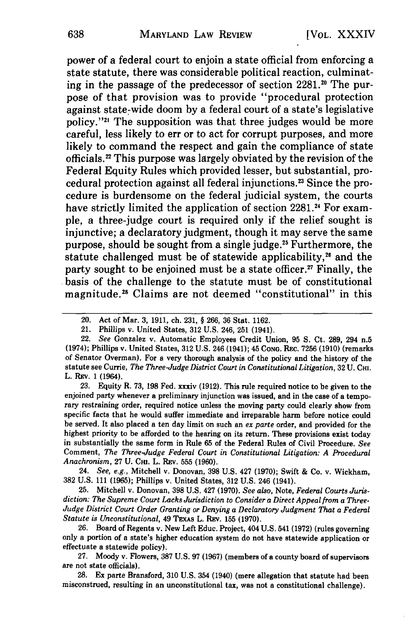power of a federal court to enjoin a state official from enforcing a state statute, there was considerable political reaction, culminating in the passage of the predecessor of section 2281.<sup>20</sup> The purpose of that provision was to provide "procedural protection against state-wide doom by a federal court of a state's legislative policy."<sup>21</sup> The supposition was that three judges would be more careful, less likely to err or to act for corrupt purposes, and more likely to command the respect and gain the compliance of state officials. 22 This purpose was largely obviated **by** the revision of the Federal Equity Rules which provided lesser, but substantial, procedural protection against all federal injunctions. 23 Since the procedure is burdensome on the federal judicial system, the courts have strictly limited the application of section **2281.4** For example, a three-judge court is required only if the relief sought is injunctive; a declaratory judgment, though it may serve the same purpose, should be sought from a single judge.<sup>25</sup> Furthermore, the statute challenged must be of statewide applicability,<sup>26</sup> and the party sought to be enjoined must be a state officer.<sup>27</sup> Finally, the basis of the challenge to the statute must be of constitutional magnitude.28 Claims are not deemed "constitutional" in this

23. Equity R. 73, 198 Fed. xxxiv (1912). This rule required notice to be given to the enjoined party whenever a preliminary injunction was issued, and in the case of a temporary restraining order, required notice unless the moving party could clearly show from specific facts that he would suffer immediate and irreparable harm before notice could be served. It also placed a ten day limit on such an *ex parte* order, and provided for the highest priority to be afforded to the hearing on its return. These provisions exist today in substantially the same form in Rule 65 of the Federal Rules of Civil Procedure. *See* Comment, *The Three-Judge Federal Court in Constitutional Litigation: A Procedural* Anachronism, 27 U. CHI. L. REV. 555 (1960).

24. *See, e.g.,* Mitchell v. Donovan, 398 U.S. 427 (1970); Swift & Co. v. Wickham, 382 U.S. 111 (1965); Phillips v. United States, 312 U.S. 246 (1941).

25. Mitchell v. Donovan, 398 U.S. 427 (1970). *See also,* Note, *Federal Courts Jurisdiction: The Supreme Court Lacks Jurisdiction to Consider a Direct Appeal from a Three-Judge District Court Order Granting or Denying a Declaratory Judgment That a Federal Statute is Unconstitutional,* 49 TEXAs L. REv. 155 (1970).

26. Board of Regents v. New Left Educ. Project, 404 U.S. 541 (1972) (rules governing only a portion of a state's higher education system do not have statewide application or effectuate a statewide policy).

27. Moody v. Flowers, 387 U.S. 97 (1967) (members of a county board of supervisors are not state officials).

28. Ex parte Bransford, 310 U.S. 354 (1940) (mere allegation that statute had been misconstrued, resulting in an unconstitutional tax, was not a constitutional challenge).

<sup>20.</sup> Act of Mar. 3, 1911, ch. 231, § 266, **36** Stat. 1162.

<sup>21.</sup> Phillips v. United States, 312 U.S. 246, 251 (1941).

<sup>22.</sup> *See* Gonzalez v. Automatic Employees Credit Union, 95 S. Ct. 289, 294 n.5 (1974); Phillips v. United States, 312 U.S. 246 (1941); 45 **CONG.** Rc. 7256 (1910) (remarks of Senator Overman). For a very thorough analysis of the policy and the history of the statute see Currie, *The Three-Judge District Court in Constitutional Litigation,* 32 U. **CHI.** L. REv. 1 (1964).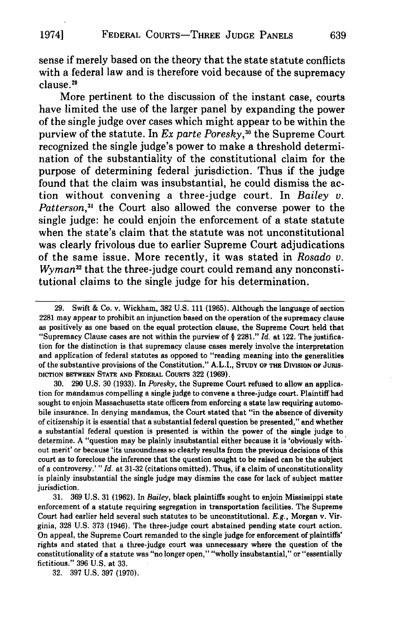sense if merely based on the theory that the state statute conflicts with a federal law and is therefore void because of the supremacy clause.<sup>29</sup>

More pertinent to the discussion of the instant case, courts have limited the use of the larger panel **by** expanding the power of the single judge over cases which might appear to be within the purview of the statute. In *Ex parte Poresky*,<sup>30</sup> the Supreme Court recognized the single judge's power to make a threshold determination of the substantiality of the constitutional claim for the purpose of determining federal jurisdiction. Thus if the judge found that the claim was insubstantial, he could dismiss the action without convening a three-judge court. In *Bailey v. Patterson,31* the Court also allowed the converse power to the single judge: he could enjoin the enforcement of a state statute when the state's claim that the statute was not unconstitutional was clearly frivolous due to earlier Supreme Court adjudications of the same issue. More recently, it was stated in *Rosado v. Wyman*<sup>32</sup> that the three-judge court could remand any nonconstitutional claims to the single judge for his determination.

**30. 290 U.S. 30 (1933).** In *Poresky,* the Supreme Court refused to allow an application for mandamus compelling a single judge to convene a three-judge court. Plaintiff had sought to enjoin Massachusetts state officers from enforcing a state law requiring automobile insurance. In denying mandamus, the Court stated that "in the absence of diversity of citizenship it is essential that a substantial federal question be presented," and whether a substantial federal question is presented is within the power of the single judge to determine. A "question may be plainly insubstantial either because it is 'obviously with-' out merit' or because 'its unsoundness so clearly results from the previous decisions of this court as to foreclose the inference that the question sought to be raised can be the subject of a controversy.' *"Id.* at 31-32 (citations omitted). Thus, if a claim of unconstitutionality is plainly insubstantial the single judge may dismiss the case for lack of subject matter jurisdiction.

31. 369 U.S. 31 (1962). In *Bailey,* black plaintiffs sought to enjoin Mississippi state enforcement of a statute requiring segregation in transportation facilities. The Supreme Court had earlier held several such statutes to be unconstitutional. *E.g.,* Morgan v. Virginia, 328 U.S. 373 (1946). The three-judge court abstained pending state court action. On appeal, the Supreme Court remanded to the single judge for enforcement of plaintiffs' rights and stated that a three-judge court was unnecessary where the question of the constitutionality of a statute was "no longer open," "wholly insubstantial," or "essentially fictitious." **396** U.S. at **33.**

**32. 397** U.S. **397** (1970).

**<sup>29.</sup>** Swift & Co. v. Wickham, **382** U.S. **111 (1965).** Although the language of section **2281** may appear to prohibit an injunction based on the operation of the supremacy clause as positively as one based on the equal protection clause, the Supreme Court held that "Supremacy Clause cases are not within the purview of § **2281."** *Id.* at 122. The justification for the distinction is that supremacy clause cases merely involve the interpretation and application of federal statutes as opposed to "reading meaning into the generalities of the substantive provisions of the Constitution." A.L.I., **STUDY** OF **THE DMSION** OF **JUtus-DICTION BETWEEN STATE AND FEDERAL** CoumRS **322 (1969).**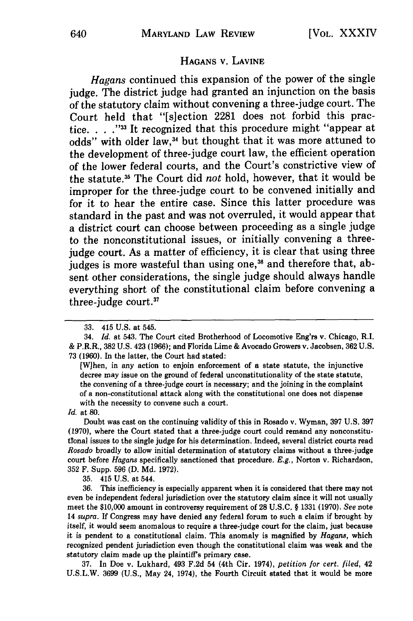#### **HAGANS** V. LAVINE

*Hagans* continued this expansion of the power of the single judge. The district judge had granted an injunction on the basis of the statutory claim without convening a three-judge court. The Court held that "[s]ection **2281** does not forbid this practice. **. . ."** It recognized that this procedure might "appear at odds" with older law,<sup>34</sup> but thought that it was more attuned to the development of three-judge court law, the efficient operation of the lower federal courts, and the Court's constrictive view of the statute. 3 The Court did *not* hold, however, that it would be improper for the three-judge court to be convened initially and for it to hear the entire case. Since this latter procedure was standard in the past and was not overruled, it would appear that a district court can choose between proceeding as a single judge to the nonconstitutional issues, or initially convening a threejudge court. As a matter of efficiency, it is clear that using three judges is more wasteful than using one,<sup>36</sup> and therefore that, absent other considerations, the single judge should always handle everything short of the constitutional claim before convening a three-judge court.37

Doubt was cast on the continuing validity of this in Rosado v. Wyman, 397 U.S. 397 (1970), where the Court stated that a three-judge court could remand any nonconstituttonal issues to the single judge for his determination. Indeed, several district courts read *Rosado* broadly to allow initial determination of statutory claims without a three-judge court before *Hagans* specifically sanctioned that procedure. *E.g.,* Norton v. Richardson, 352 F. Supp. 596 (D. Md. 1972).

35. 415 U.S. at 544.

36. This inefficiency is especially apparent when it is considered that there may not even be independent federal jurisdiction over the statutory claim since it will not usually meet the \$10,000 amount in controversy requirement of **28** U.S.C. § 1331 (1970). *See* note 14 *supra. If* Congress may have denied any federal forum to such a claim if brought by itself, it would seem anomalous to require a three-judge court for the claim, just because it is pendent to a constitutional claim. This anomaly is magnified by *Hagans,* which recognized pendent jurisdiction even though the constitutional claim was weak and the statutory claim made up the plaintiff's primary case.

37. In Doe v. Lukhard, 493 F.2d 54 (4th Cir. 1974), *petition for cert. filed,* 42 U.S.L.W. 3699 (U.S., May 24, 1974), the Fourth Circuit stated that it would be more

<sup>33. 415</sup> **U.S.** at 545.

<sup>34.</sup> *Id.* at 543. The Court cited Brotherhood of Locomotive Eng'rs v. Chicago, R.I. & P.R.R., 382 U.S. 423 (1966); and Florida Lime & Avocado Growers v. Jacobsen, 362 U.S. 73 (1960). In the latter, the Court had stated:

<sup>[</sup>W]hen, in any action to enjoin enforcement of a state statute, the injunctive decree may issue on the ground of federal unconstitutionality of the state statute, the convening of a three-judge court is necessary; and the joining in the complaint of a non-constitutional attack along with the constitutional one does not dispense with the necessity to convene such a court.

*Id.* at 80.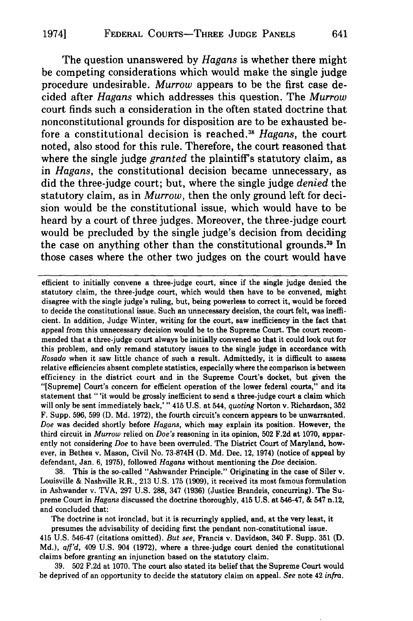The question unanswered by *Hagans* is whether there might be competing considerations which would make the single judge procedure undesirable. *Murrow* appears to be the first case decided after *Hagans* which addresses this question. The *Murrow* court finds such a consideration in the often stated doctrine that nonconstitutional grounds for disposition are to be exhausted before a constitutional decision is reached.<sup>38</sup> Hagans, the court noted, also stood for this rule. Therefore, the court reasoned that where the single judge *granted* the plaintiff's statutory claim, as in *Hagans,* the constitutional decision became unnecessary, as did the three-judge court; but, where the single judge *denied* the statutory claim, as in *Murrow,* then the only ground left for decision would be the constitutional issue, which would have to be heard by a court of three judges. Moreover, the three-judge court would be precluded by the single judge's decision from deciding the case on anything other than the constitutional grounds.<sup>39</sup> In those cases where the other two judges on the court would have

efficient to initially convene a three-judge court, since if the single judge denied the statutory claim, the three-judge court, which would then have to be convened, might disagree with the single judge's ruling, but, being powerless to correct it, would be forced to decide the constitutional issue. Such an unnecessary decision, the court felt, was inefficient. In addition, Judge Winter, writing for the court, saw inefficiency in the fact that appeal from this unnecessary decision would be to the Supreme Court. The court recommended that a three-judge court always be initially convened so that it could **look** out for this problem, and only remand statutory issues to the single judge in accordance with *Rosado* when it saw little chance of such a result. Admittedly, it is difficult to assess relative efficiencies absent complete statistics, especially where the comparison is between efficiency in the district court and in the Supreme Court's docket, but given the "[Supreme] Court's concern for efficient operation of the lower federal courts," and its statement that "'it would be grossly inefficient to send a three-judge court a claim which will only be sent immediately back,' " 415 **U.S.** at 544, *quoting* Norton v. Richardson, **352** F. Supp. **596, 599 (D. Md. 1972),** the fourth circuit's concern appears to be unwarranted. *Doe* was decided shortly before *Hagans,* which may explain its position. However, the third circuit in *Murrow* relied on *Doe's* reasoning in its opinion, **502 F.2d** at **1070,** apparently not considering Doe to have been overruled. The District Court of Maryland, however, in Bethea v. Mason, Civil No. **73-874H (D. Md.** Dec. 12, 1974) (notice of appeal **by** defendant, Jan. **6, 1975),** followed *Hagans* without mentioning the Doe decision.

**38.** This is the so-called "Ashwander Principle." Originating in the case of Siler **v.** Louisville & Nashville R.R., **213 U.S. 175 (1909),** it received its most famous formulation in Ashwander v. TVA, **297 U.S. 288,** 347 **(1936)** (Justice Brandeis, concurring). The Supreme Court in *Hagans* discussed the doctrine thoroughly, 415 **U.S.** at 546-47, **&** 547 n.12, and concluded that:

The doctrine is not ironclad, but it is recurringly applied, and, at the very least, it presumes the advisability of deciding first the pendant non-constitutional issue.

415 **U.S.** 546-47 (citations omitted). *But see,* Francis v. Davidson, 340 F. Supp. **351 (D. Md.),** *aff'd,* 409 **U.S.** 904 **(1972),** where a three-judge court denied the constitutional claims before granting an injunction based on the statutory claim.

**39. 502 F.2d** at **1070.** The court also stated its belief that the Supreme Court would be deprived of an opportunity to decide the statutory claim on appeal. *See* note 42 *infra.*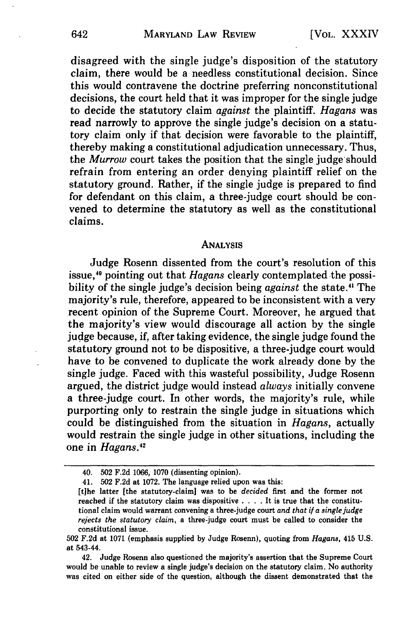disagreed with the single judge's disposition of the statutory claim, there would be a needless constitutional decision. Since this would contravene the doctrine preferring nonconstitutional decisions, the court held that it was improper for the single judge to decide the statutory claim *against* the plaintiff. *Hagans* was read narrowly to approve the single judge's decision on a statutory claim only if that decision were favorable to the plaintiff, thereby making a constitutional adjudication unnecessary. Thus, the *Murrow* court takes the position that the single judge should refrain from entering an order denying plaintiff relief on the statutory ground. Rather, if the single judge is prepared to find for defendant on this claim, a three-judge court should be convened to determine the statutory as well as the constitutional claims.

#### **ANALYSIS**

Judge Rosenn dissented from the court's resolution of this issue,<sup>40</sup> pointing out that *Hagans* clearly contemplated the possibility of the single judge's decision being *against* the state.4 The majority's rule, therefore, appeared to be inconsistent with a very recent opinion of the Supreme Court. Moreover, he argued that the majority's view would discourage all action by the single judge because, if, after taking evidence, the single judge found the statutory ground not to be dispositive, a three-judge court would have to be convened to duplicate the work already done by the single judge. Faced with this wasteful possibility, Judge Rosenn argued, the district judge would instead *always* initially convene a three-judge court. In other words, the majority's rule, while purporting only to restrain the single judge in situations which could be distinguished from the situation in *Hagans,* actually would restrain the single judge in other situations, including the one in *Hagans*.<sup>42</sup>

<sup>40.</sup> **502** F.2d 1066, 1070 (dissenting opinion).

<sup>41.</sup> **502** F.2d at 1072. The language relied upon was this:

<sup>[</sup>tihe latter [the statutory-claim] was to be *decided* first and the former not reached if the statutory claim was dispositive . **. .** . It is true that the constitutional claim would warrant convening a three-judge court *and that if a single judge rejects the statutory claim,* a three-judge court must be called to consider the constitutional issue.

**<sup>502</sup> F.2d** at 1071 (emphasis supplied by Judge Rosenn), quoting from *Hagans,* 415 U.S. at 543-44.

<sup>42.</sup> Judge Rosenn also questioned the majority's assertion that the Supreme Court would be unable to review a single judge's decision on the statutory claim. No authority was cited on either side of the question, although the dissent demonstrated that the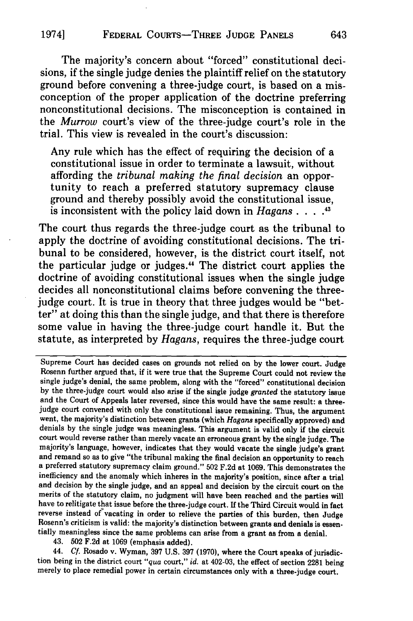### 1974] **FEDERAL COURTS-THREE JUDGE PANELS**

The majority's concern about "forced" constitutional decisions, if the single judge denies the plaintiff relief on the statutory ground before convening a three-judge court, is based on a misconception of the proper application of the doctrine preferring nonconstitutional decisions. The misconception is contained in the *Murrow* court's view of the three-judge court's role in the trial. This view is revealed in the court's discussion:

Any rule which has the effect of requiring the decision of a constitutional issue in order to terminate a lawsuit, without affording the *tribunal making the final decision* an opportunity to reach a preferred statutory supremacy clause ground and thereby possibly avoid the constitutional issue, is inconsistent with the policy laid down in *Hagans. .... 43*

The court thus regards the three-judge court as the tribunal to apply the doctrine of avoiding constitutional decisions. The tribunal to be considered, however, is the district court itself, not the particular judge or judges." The district court applies the doctrine of avoiding constitutional issues when the single judge decides all nonconstitutional claims before convening the threejudge court. It is true in theory that three judges would be "better" at doing this than the single judge, and that there is therefore some value in having the three-judge court handle it. But the statute, as interpreted by *Hagans,* requires the three-judge court

Supreme Court has decided cases on grounds not relied on **by** the lower court. Judge Rosenn further argued that, if it were true that the Supreme Court could not review the single judge's denial, the same problem, along with the "forced" constitutional decision **by** the three-judge court would also arise if the single judge *granted* the statutory issue and the Court of Appeals later reversed, since this would have the same result: a threejudge court convened with only the constitutional issue remaining. Thus, the argument went, the majority's distinction between grants (which *Hagans* specifically approved) and denials **by** the single judge was meaningless. This argument is valid only if the circuit court would reverse rather than merely vacate an erroneous grant **by** the single judge. The majority's language, however, indicates that they would vacate the single judge's grant<br>and remand so as to give "the tribunal making the final decision an opportunity to reach<br>a preferred statutory supremacy claim ground. inefficiency and the anomaly which inheres in the majority's position, since after a trial and decision **by** the single judge, and an appeal and decision **by** the circuit court on the merits of the statutory claim, no judgment will have been reached and the parties will have to relitigate that issue before the three-judge court. If the Third Circuit would in fact reverse instead of vacating in order to relieve the parties of this burden, then Judge Rosenn's criticism is valid: the majority's distinction between grants and denials is essen- tially meaningless since the same problems can arise from a grant as from a denial.

43. **502 F.2d** at **1069** (emphasis added).

44. *Cf.* Rosado v. Wyman, **397 U.S. 397 (1970),** where the Court speaks of jurisdiction being in the district court *"qua* court," *id.* at 402-03, the effect of section **2281** being merely to place remedial power in certain circumstances only with a three-judge court.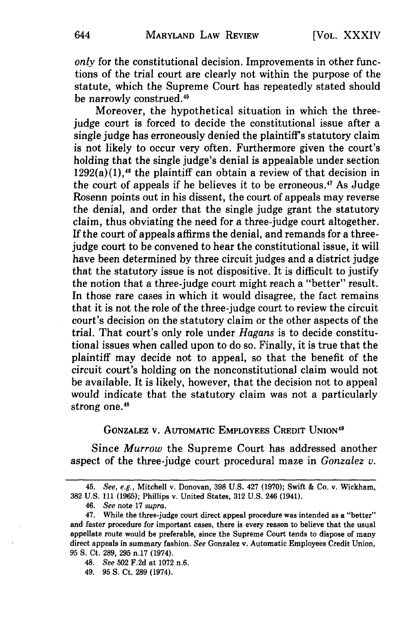*only* for the constitutional decision. Improvements in other functions of the trial court are clearly not within the purpose of the statute, which the Supreme Court has repeatedly stated should be narrowly construed.45

Moreover, the hypothetical situation in which the threejudge court is forced to decide the constitutional issue after a single judge has erroneously denied the plaintiff's statutory claim is not likely to occur very often. Furthermore given the court's holding that the single judge's denial is appealable under section  $1292(a)(1)$ ,<sup>46</sup> the plaintiff can obtain a review of that decision in the court of appeals if he believes it to be erroneous.<sup>47</sup> As Judge Rosenn points out in his dissent, the court of appeals may reverse the denial, and order that the single judge grant the statutory claim, thus obviating the need for a three-judge court altogether. If the court of appeals affirms the denial, and remands for a threejudge court to be convened to hear the constitutional issue, it will have been determined by three circuit judges and a district judge that the statutory issue is not dispositive. It is difficult to justify the notion that a three-judge court might reach a "better" result. In those rare cases in which it would disagree, the fact remains that it is not the role of the three-judge court to review the circuit court's decision on the statutory claim or the other aspects of the trial. That court's only role under *Hagans* is to decide constitutional issues when called upon to do so. Finally, it is true that the plaintiff may decide not to appeal, so that the benefit of the circuit court's holding on the nonconstitutional claim would not be available. It is likely, however, that the decision not to appeal would indicate that the statutory claim was not a particularly strong one.<sup>48</sup>

## **GONZALEZ V. AUTOMATIC** EMPLOYEES CREDIT **UNION <sup>9</sup>**

Since *Murrow* the Supreme Court has addressed another aspect of the three-judge court procedural maze in *Gonzalez v.*

- *48.* See 502 F.2d at 1072 n.6.
- 49. **95 S.** Ct. **289** (1974).

<sup>45.</sup> See, e.g., Mitchell v. Donovan, **398** U.S. 427 **(1970);** Swift & Co. v. Wickham, **382** U.S. 111 **(1965);** Phillips v. United States, **312** U.S. 246 (1941).

<sup>46.</sup> See note 17 supra.

<sup>47.</sup> While the three-judge court direct appeal procedure was intended as a "better" and faster procedure for important cases, there is every reason to believe that the usual appellate route would be preferable, since the Supreme Court tends to dispose of many direct appeals in summary fashion. See Gonzalez v. Automatic Employees Credit Union, **95 S.** Ct. **289, 295** n.17 (1974).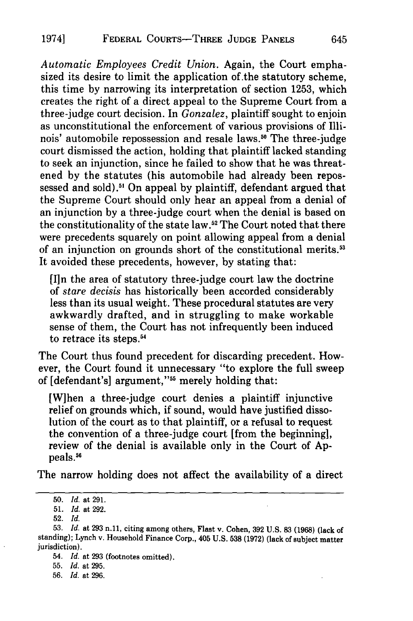*Automatic Employees Credit Union.* Again, the Court emphasized its desire to limit the application of.the statutory scheme, this time by narrowing its interpretation of section 1253, which creates the right of a direct appeal to the Supreme Court from a three-judge court decision. In *Gonzalez,* plaintiff sought to enjoin as unconstitutional the enforcement of various provisions of Illinois' automobile repossession and resale laws.<sup>50</sup> The three-judge court dismissed the action, holding that plaintiff lacked standing to seek an injunction, since he failed to show that he was threatened **by** the statutes (his automobile had already been repossessed and sold).<sup>51</sup> On appeal by plaintiff, defendant argued that the Supreme Court should only hear an appeal from a denial of an injunction **by** a three-judge court when the denial is based on the constitutionality of the state law.<sup>52</sup> The Court noted that there were precedents squarely on point allowing appeal from a denial of an injunction on grounds short of the constitutional merits.<sup>53</sup> It avoided these precedents, however, **by** stating that:

[Iln the area of statutory three-judge court law the doctrine of *stare decisis* has historically been accorded considerably less than its usual weight. These procedural statutes are very awkwardly drafted, and in struggling to make workable sense of them, the Court has not infrequently been induced to retrace its steps.<sup>54</sup>

The Court thus found precedent for discarding precedent. However, the Court found it unnecessary "to explore the full sweep of [defendant's] argument,"<sup>55</sup> merely holding that:

[W]hen a three-judge court denies a plaintiff injunctive relief on grounds which, if sound, would have justified dissolution of the court as to that plaintiff, or a refusal to request the convention of a three-judge court [from the beginning], review of the denial is available only in the Court of **Ap**peals.<sup>56</sup>

The narrow holding does not affect the availability of a direct

**<sup>50.</sup>** *Id.* at **291.**

**<sup>51.</sup>** *Id.* at **292.**

<sup>52.</sup> *Id.*

**<sup>53.</sup>** *Id.* at 293 n.11, citing among others, Flast v. Cohen, **392 U.S.** 83 **(1968)** (lack of standing); Lynch v. Household Finance Corp., 405 U.S. **538** (1972) (lack of subject matter jurisdiction).

<sup>54.</sup> *Id.* at 293 (footnotes omitted).

<sup>55.</sup> *Id.* at 295.

<sup>56.</sup> *Id.* at 296.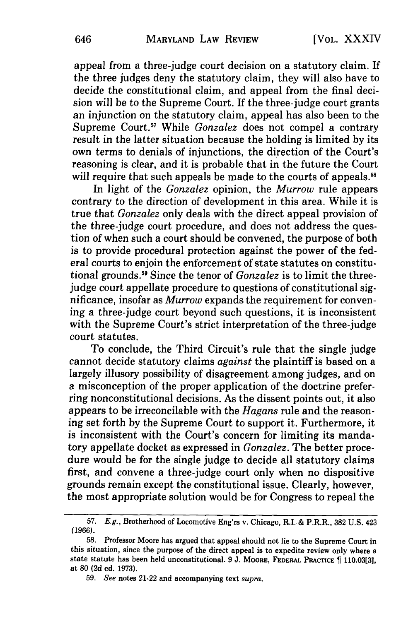appeal from a three-judge court decision on a statutory claim. If the three judges deny the statutory claim, they will also have to decide the constitutional claim, and appeal from the final decision will be to the Supreme Court. If the three-judge court grants an injunction on the statutory claim, appeal has also been to the Supreme Court.<sup>57</sup> While *Gonzalez* does not compel a contrary result in the latter situation because the holding is limited by its own terms to denials of injunctions, the direction of the Court's reasoning is clear, and it is probable that in the future the Court will require that such appeals be made to the courts of appeals.<sup>58</sup>

In light of the *Gonzalez* opinion, the *Murrow* rule appears contrary to the direction of development in this area. While it is true that *Gonzalez* only deals with the direct appeal provision of the three-judge court procedure, and does not address the question of when such a court should be convened, the purpose of both is to provide procedural protection against the power of the federal courts to enjoin the enforcement of state statutes on constitutional grounds.<sup>59</sup> Since the tenor of *Gonzalez* is to limit the threejudge court appellate procedure to questions of constitutional significance, insofar as *Murrow* expands the requirement for convening a three-judge court beyond such questions, it is inconsistent with the Supreme Court's strict interpretation of the three-judge court statutes.

To conclude, the Third Circuit's rule that the single judge cannot decide statutory claims *against* the plaintiff is based on a largely illusory possibility of disagreement among judges, and on a misconception of the proper application of the doctrine preferring nonconstitutional decisions. As the dissent points out, it also appears to be irreconcilable with the *Hagans* rule and the reasoning set forth by the Supreme Court to support it. Furthermore, it is inconsistent with the Court's concern for limiting its mandatory appellate docket as expressed in *Gonzalez.* The better procedure would be for the single judge to decide all statutory claims first, and convene a three-judge court only when no dispositive grounds remain except the constitutional issue. Clearly, however, the most appropriate solution would be for Congress to repeal the

**<sup>57.</sup>** E.g., Brotherhood of Locomotive Eng'rs v. Chicago, R.I. & P.R.R., **382 U.S.** 423 **(1966).**

**<sup>58.</sup>** Professor Moore has argued that appeal should not lie to the Supreme Court in this situation, since the purpose of the direct appeal is to expedite review only where a state statute has been held unconstitutional. **9 J.** MooRE, FEDERAL PRACTIcE **110.03[31,** at **80 (2d** ed. **1973).**

**<sup>59.</sup>** See notes 21-22 and accompanying text *supra.*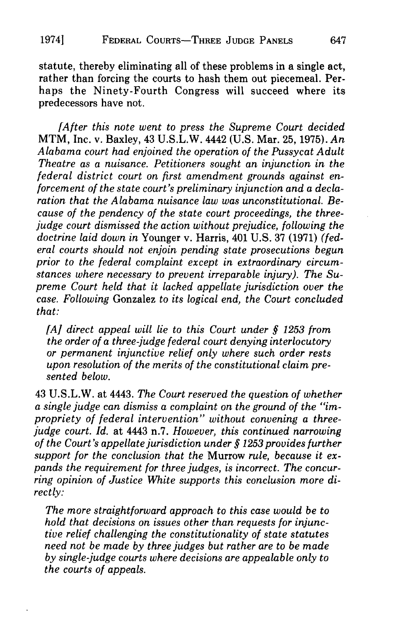statute, thereby eliminating all of these problems in a single act, rather than forcing the courts to hash them out piecemeal. Perhaps the Ninety-Fourth Congress will succeed where its predecessors have not.

*[After this note went to press the Supreme Court decided* MTM, Inc. v. Baxley, 43 U.S.L.W. 4442 (U.S. Mar. 25, 1975). *An Alabama court had enjoined the operation of the Pussycat Adult Theatre as a nuisance. Petitioners sought an injunction in the federal district court on first amendment grounds against enforcement of the state court's preliminary injunction and a declaration that the Alabama nuisance law was unconstitutional. Because of the pendency of the state court proceedings, the threejudge court dismissed the action without prejudice, following the doctrine laid down in* Younger v. Harris, 401 U.S. 37 (1971) *(federal courts should not enjoin pending state prosecutions begun prior to the federal complaint except in extraordinary circumstances where necessary to prevent irreparable injury). The Supreme Court held that it lacked appellate jurisdiction over the case. Following* Gonzalez *to its logical end, the Court concluded that:*

*[A] direct appeal will lie to this Court under § 1253 from the order of a three-judge federal court denying interlocutory or permanent injunctive relief only where such order rests upon resolution of the merits of the constitutional claim presented below.*

43 U.S.L.W. at 4443. *The Court reserved the question of whether a single judge can dismiss a complaint on the ground of the "impropriety of federal intervention" without convening a threejudge court. Id.* at 4443 n.7. *However, this continued narrowing of the Court's appellate jurisdiction under § 1253 provides further support for the conclusion that the* Murrow *rule, because it expands the requirement for three judges, is incorrect. The concurring opinion of Justice White supports this conclusion more directly:*

*The more straightforward approach to this case would be to hold that decisions on issues other than requests for injunctive relief challenging the constitutionality of state statutes need not be made by three judges but rather are to be made by single-judge courts where decisions are appealable only to the courts of appeals.*